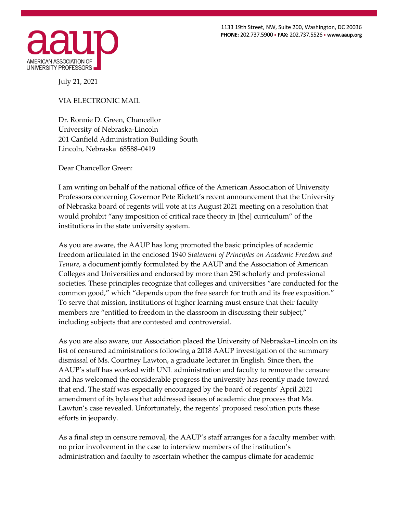1133 19th Street, NW, Suite 200, Washington, DC 20036 **PHONE:** 202.737.5900 • **FAX:** 202.737.5526 • **www.aaup.org** 



July 21, 2021

## VIA ELECTRONIC MAIL

Dr. Ronnie D. Green, Chancellor University of Nebraska-Lincoln 201 Canfield Administration Building South Lincoln, Nebraska 68588–0419

Dear Chancellor Green:

I am writing on behalf of the national office of the American Association of University Professors concerning Governor Pete Rickett's recent announcement that the University of Nebraska board of regents will vote at its August 2021 meeting on a resolution that would prohibit "any imposition of critical race theory in [the] curriculum" of the institutions in the state university system.

As you are aware, the AAUP has long promoted the basic principles of academic freedom articulated in the enclosed 1940 *Statement of Principles on Academic Freedom and Tenure*, a document jointly formulated by the AAUP and the Association of American Colleges and Universities and endorsed by more than 250 scholarly and professional societies. These principles recognize that colleges and universities "are conducted for the common good," which "depends upon the free search for truth and its free exposition." To serve that mission, institutions of higher learning must ensure that their faculty members are "entitled to freedom in the classroom in discussing their subject," including subjects that are contested and controversial.

As you are also aware, our Association placed the University of Nebraska–Lincoln on its list of censured administrations following a 2018 AAUP investigation of the summary dismissal of Ms. Courtney Lawton, a graduate lecturer in English. Since then, the AAUP's staff has worked with UNL administration and faculty to remove the censure and has welcomed the considerable progress the university has recently made toward that end. The staff was especially encouraged by the board of regents' April 2021 amendment of its bylaws that addressed issues of academic due process that Ms. Lawton's case revealed. Unfortunately, the regents' proposed resolution puts these efforts in jeopardy.

As a final step in censure removal, the AAUP's staff arranges for a faculty member with no prior involvement in the case to interview members of the institution's administration and faculty to ascertain whether the campus climate for academic